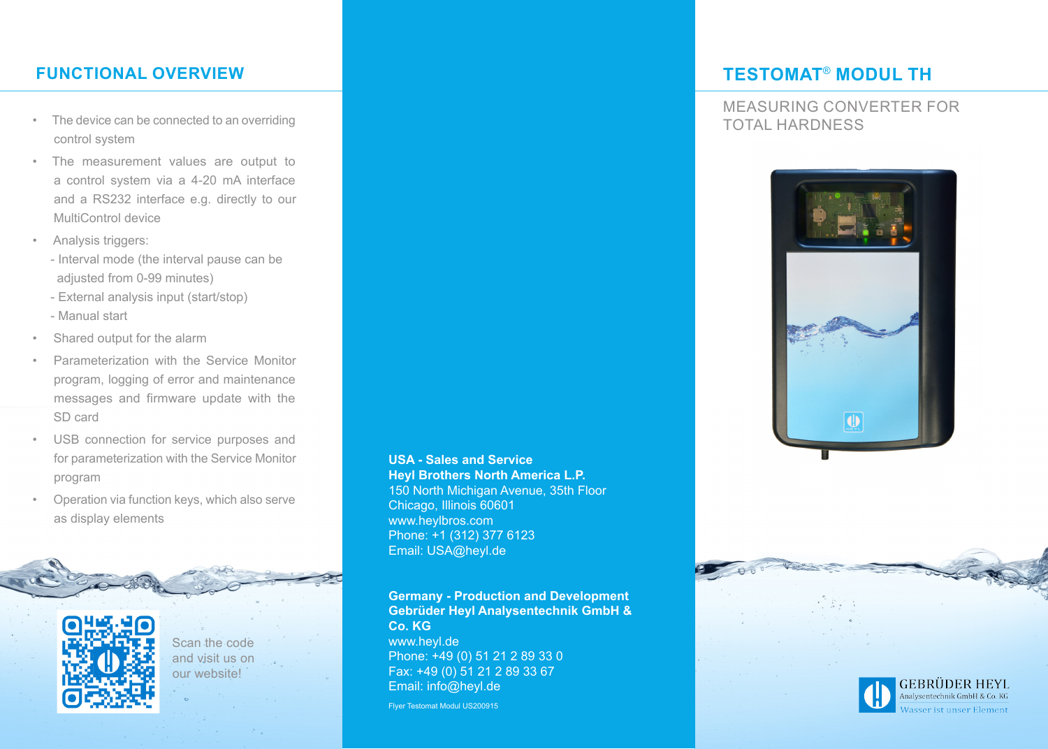# **FUNCTIONAL OVERVIEW TESTOMAT**® **MODUL TH**

- The device can be connected to an overriding and the connected to an overriding and the connected to an overriding and the connected to an overriding and the connected to an overriding and the connected to an overriding control system
- • The measurement values are output to a control system via a 4-20 mA interface and a RS232 interface e.g. directly to our MultiControl device
- • Analysis triggers:
	- Interval mode (the interval pause can be adjusted from 0-99 minutes)
	- External analysis input (start/stop)
	- Manual start
- • Shared output for the alarm
- Parameterization with the Service Monitor program, logging of error and maintenance messages and firmware update with the SD card
- • USB connection for service purposes and for parameterization with the Service Monitor program
- Operation via function keys, which also serve as display elements



Scan the code and visit us on our website!

## **USA - Sales and Service Heyl Brothers North America L.P.**

150 North Michigan Avenue, 35th Floor Chicago, Illinois 60601 www.heylbros.com Phone: +1 (312) 377 6123 Email: USA@heyl.de

**Germany - Production and Development Gebrüder Heyl Analysentechnik GmbH & Co. KG** www.heyl.de Phone: +49 (0) 51 21 2 89 33 0

Fax: +49 (0) 51 21 2 89 33 67 Email: info@heyl.de

Flyer Testomat Modul US200915

MEASURING CONVERTER FOR